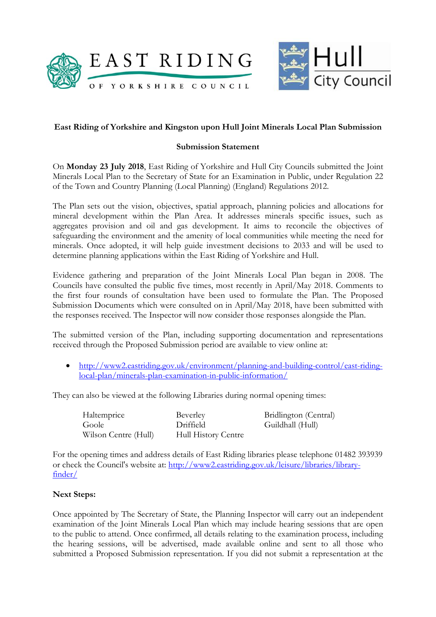



## **East Riding of Yorkshire and Kingston upon Hull Joint Minerals Local Plan Submission**

## **Submission Statement**

On **Monday 23 July 2018**, East Riding of Yorkshire and Hull City Councils submitted the Joint Minerals Local Plan to the Secretary of State for an Examination in Public, under Regulation 22 of the Town and Country Planning (Local Planning) (England) Regulations 2012.

The Plan sets out the vision, objectives, spatial approach, planning policies and allocations for mineral development within the Plan Area. It addresses minerals specific issues, such as aggregates provision and oil and gas development. It aims to reconcile the objectives of safeguarding the environment and the amenity of local communities while meeting the need for minerals. Once adopted, it will help guide investment decisions to 2033 and will be used to determine planning applications within the East Riding of Yorkshire and Hull.

Evidence gathering and preparation of the Joint Minerals Local Plan began in 2008. The Councils have consulted the public five times, most recently in April/May 2018. Comments to the first four rounds of consultation have been used to formulate the Plan. The Proposed Submission Documents which were consulted on in April/May 2018, have been submitted with the responses received. The Inspector will now consider those responses alongside the Plan.

The submitted version of the Plan, including supporting documentation and representations received through the Proposed Submission period are available to view online at:

 [http://www2.eastriding.gov.uk/environment/planning-and-building-control/east-riding](http://www2.eastriding.gov.uk/environment/planning-and-building-control/east-riding-local-plan/minerals-plan-examination-in-public-information/)[local-plan/minerals-plan-examination-in-public-information/](http://www2.eastriding.gov.uk/environment/planning-and-building-control/east-riding-local-plan/minerals-plan-examination-in-public-information/)

They can also be viewed at the following Libraries during normal opening times:

| Haltemprice          | Beverley            | Bridlington (Central) |
|----------------------|---------------------|-----------------------|
| Goole                | Driffield           | Guildhall (Hull)      |
| Wilson Centre (Hull) | Hull History Centre |                       |

For the opening times and address details of East Riding libraries please telephone 01482 393939 or check the Council's website at: [http://www2.eastriding.gov.uk/leisure/libraries/library](http://www2.eastriding.gov.uk/leisure/libraries/library-finder/)[finder/](http://www2.eastriding.gov.uk/leisure/libraries/library-finder/)

## **Next Steps:**

Once appointed by The Secretary of State, the Planning Inspector will carry out an independent examination of the Joint Minerals Local Plan which may include hearing sessions that are open to the public to attend. Once confirmed, all details relating to the examination process, including the hearing sessions, will be advertised, made available online and sent to all those who submitted a Proposed Submission representation. If you did not submit a representation at the